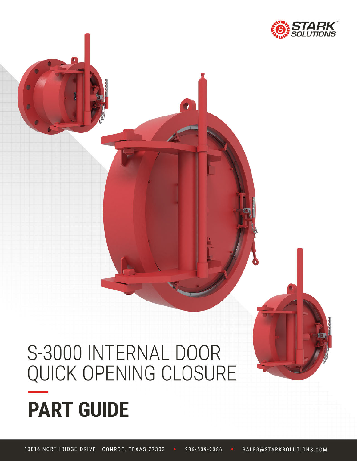

# S-3000 INTERNAL DOOR QUICK OPENING CLOSURE **PART GUIDE**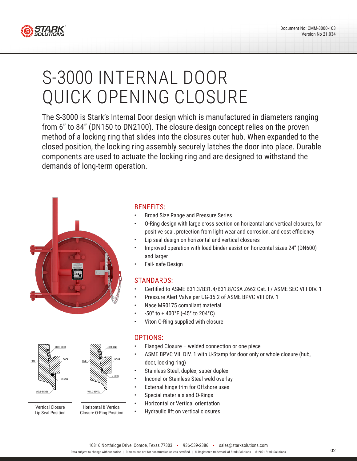

# S-3000 INTERNAL DOOR QUICK OPENING CLOSURE

The S-3000 is Stark's Internal Door design which is manufactured in diameters ranging from 6" to 84" (DN150 to DN2100). The closure design concept relies on the proven method of a locking ring that slides into the closures outer hub. When expanded to the closed position, the locking ring assembly securely latches the door into place. Durable components are used to actuate the locking ring and are designed to withstand the demands of long-term operation.





Vertical Closure Lip Seal Position

Horizontal & Vertical Closure O-Ring Position

#### BENEFITS:

- Broad Size Range and Pressure Series
- O-Ring design with large cross section on horizontal and vertical closures, for positive seal, protection from light wear and corrosion, and cost efficiency
- Lip seal design on horizontal and vertical closures
- Improved operation with load binder assist on horizontal sizes 24" (DN600) and larger
- Fail- safe Design

#### STANDARDS:

- Certified to ASME B31.3/B31.4/B31.8/CSA Z662 Cat. I / ASME SEC VIII DIV. 1
- Pressure Alert Valve per UG-35.2 of ASME BPVC VIII DIV. 1
- Nace MR0175 compliant material
- -50° to + 400°F (-45° to 204°C)
- Viton O-Ring supplied with closure

#### OPTIONS:

- Flanged Closure welded connection or one piece
- ASME BPVC VIII DIV. 1 with U-Stamp for door only or whole closure (hub, door, locking ring)
- Stainless Steel, duplex, super-duplex
- Inconel or Stainless Steel weld overlay
- External hinge trim for Offshore uses
- Special materials and O-Rings
- Horizontal or Vertical orientation
- Hydraulic lift on vertical closures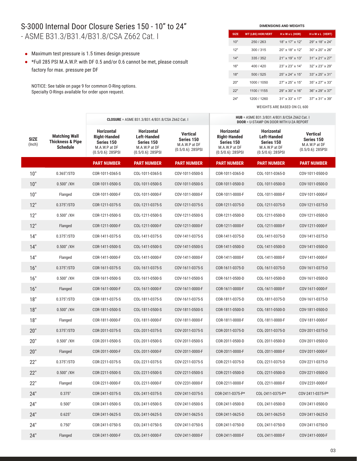#### S-3000 Internal Door Closure Series 150 - 10" to 24" - ASME B31.3/B31.4/B31.8/CSA Z662 Cat. I

- Maximum test pressure is 1.5 times design pressure
- \*Full 285 PSI M.A.W.P. with DF 0.5 and/or 0.6 cannot be met, please consult factory for max. pressure per DF

NOTICE: See table on page 9 for common O-Ring options. Specialty O-Rings available for order upon request.

| <b>DIMENSIONS AND WEIGHTS</b> |                          |                             |                             |  |  |  |  |  |  |
|-------------------------------|--------------------------|-----------------------------|-----------------------------|--|--|--|--|--|--|
| <b>SIZE</b>                   | <b>WT (LBS) HOR/VERT</b> | $H \times W \times L$ (HOR) | H x W x L (VERT)            |  |  |  |  |  |  |
| 10"                           | 250 / 263                | 18" x 17" x 12"             | 29" x 18" x 24"             |  |  |  |  |  |  |
| 12"                           | 300/315                  | $20"$ x 18" x 12"           | $30" \times 20" \times 26"$ |  |  |  |  |  |  |
| 14"                           | 335/352                  | $21"$ x $19"$ x $13"$       | $31"$ x 21" x 27"           |  |  |  |  |  |  |
| 16"                           | 400/420                  | $23" \times 23" \times 14"$ | $32"$ x $23"$ x $29"$       |  |  |  |  |  |  |
| 18"                           | 500/525                  | $25" \times 24" \times 15"$ | $33" \times 25" \times 31"$ |  |  |  |  |  |  |
| 20"                           | 1000 / 1050              | $27"$ x $25"$ x $15"$       | $35" \times 27" \times 33"$ |  |  |  |  |  |  |
| 22"                           | 1100 / 1155              | $29" \times 30" \times 16"$ | $36" \times 29" \times 37"$ |  |  |  |  |  |  |
| 24"                           | 1200 / 1260              | $31" \times 33" \times 17"$ | $37" \times 31" \times 39"$ |  |  |  |  |  |  |

|                       |                                                                 | <b>CLOSURE</b> = ASME B31.3/B31.4/B31.8/CSA Z662 Cat. I                                         |                                                                                                |                                                                        | HUB = ASME B31.3/B31.4/B31.8/CSA Z662 Cat. I<br><b>DOOR = U-STAMP ON DOOR WITH U-2A REPORT</b>  |                                                                                                |                                                                     |  |
|-----------------------|-----------------------------------------------------------------|-------------------------------------------------------------------------------------------------|------------------------------------------------------------------------------------------------|------------------------------------------------------------------------|-------------------------------------------------------------------------------------------------|------------------------------------------------------------------------------------------------|---------------------------------------------------------------------|--|
| <b>SIZE</b><br>(Inch) | <b>Matching Wall</b><br><b>Thickness &amp; Pipe</b><br>Schedule | <b>Horizontal</b><br><b>Right-Handed</b><br>Series 150<br>M.A.W.P at DF<br>$(0.5/0.6)$ : 285PSI | <b>Horizontal</b><br><b>Left-Handed</b><br>Series 150<br>M.A.W.P at DF<br>$(0.5/0.6)$ : 285PSI | <b>Vertical</b><br>Series 150<br>M.A.W.P at DF<br>$(0.5/0.6)$ : 285PSI | <b>Horizontal</b><br><b>Right-Handed</b><br>Series 150<br>M.A.W.P at DF<br>$(0.5/0.6)$ : 285PSI | <b>Horizontal</b><br><b>Left-Handed</b><br>Series 150<br>M.A.W.P at DF<br>$(0.5/0.6)$ : 285PSI | <b>Vertical</b><br>Series 150<br>M.A.W.P at DF<br>(0.5/0.6): 285PSI |  |
|                       |                                                                 | <b>PART NUMBER</b>                                                                              | <b>PART NUMBER</b>                                                                             | <b>PART NUMBER</b>                                                     | <b>PART NUMBER</b>                                                                              | <b>PART NUMBER</b>                                                                             | <b>PART NUMBER</b>                                                  |  |
| 10"                   | 0.365''/STD                                                     | COR-1011-0365-S                                                                                 | COL-1011-0365-S                                                                                | COV-1011-0500-S                                                        | COR-1011-0365-D                                                                                 | COL-1011-0365-D                                                                                | COV-1011-0500-D                                                     |  |
| 10"                   | $0.500"$ /XH                                                    | COR-1011-0500-S                                                                                 | COL-1011-0500-S                                                                                | COV-1011-0500-S                                                        | COR-1011-0500-D                                                                                 | COL-1011-0500-D                                                                                | COV-1011-0500-D                                                     |  |
| 10"                   | Flanged                                                         | COR-1011-0000-F                                                                                 | COL-1011-0000-F                                                                                | COV-1011-0000-F                                                        | COR-1011-0000-F                                                                                 | COL-1011-0000-F                                                                                | COV-1011-0000-F                                                     |  |
| 12"                   | 0.375"/STD                                                      | COR-1211-0375-S                                                                                 | COL-1211-0375-S                                                                                | COV-1211-0375-S                                                        | COR-1211-0375-D                                                                                 | COL-1211-0375-D                                                                                | COV-1211-0375-D                                                     |  |
| 12"                   | $0.500"$ /XH                                                    | COR-1211-0500-S                                                                                 | COL-1211-0500-S                                                                                | COV-1211-0500-S                                                        | COR-1211-0500-D                                                                                 | COL-1211-0500-D                                                                                | COV-1211-0500-D                                                     |  |
| 12"                   | Flanged                                                         | COR-1211-0000-F                                                                                 | COL-1211-0000-F                                                                                | COV-1211-0000-F                                                        | COR-1211-0000-F                                                                                 | COL-1211-0000-F                                                                                | COV-1211-0000-F                                                     |  |
| 14"                   | 0.375"/STD                                                      | COR-1411-0375-S                                                                                 | COL-1411-0375-S                                                                                | COV-1411-0375-S                                                        | COR-1411-0375-D                                                                                 | COL-1411-0375-D                                                                                | COV-1411-0375-D                                                     |  |
| 14"                   | $0.500"$ /XH                                                    | COR-1411-0500-S                                                                                 | COL-1411-0500-S                                                                                | COV-1411-0500-S                                                        | COR-1411-0500-D                                                                                 | COL-1411-0500-D                                                                                | COV-1411-0500-D                                                     |  |
| 14"                   | Flanged                                                         | COR-1411-0000-F                                                                                 | COL-1411-0000-F                                                                                | COV-1411-0000-F                                                        | COR-1411-0000-F                                                                                 | COL-1411-0000-F                                                                                | COV-1411-0000-F                                                     |  |
| 16"                   | 0.375"/STD                                                      | COR-1611-0375-S                                                                                 | COL-1611-0375-S                                                                                | COV-1611-0375-S                                                        | COR-1611-0375-D                                                                                 | COL-1611-0375-D                                                                                | COV-1611-0375-D                                                     |  |
| 16"                   | $0.500"$ /XH                                                    | COR-1611-0500-S                                                                                 | COL-1611-0500-S                                                                                | COV-1611-0500-S                                                        | COR-1611-0500-D                                                                                 | COL-1611-0500-D                                                                                | COV-1611-0500-D                                                     |  |
| 16"                   | Flanged                                                         | COR-1611-0000-F                                                                                 | COL-1611-0000-F                                                                                | COV-1611-0000-F                                                        | COR-1611-0000-F                                                                                 | COL-1611-0000-F                                                                                | COV-1611-0000-F                                                     |  |
| 18"                   | 0.375"/STD                                                      | COR-1811-0375-S                                                                                 | COL-1811-0375-S                                                                                | COV-1611-0375-S                                                        | COR-1811-0375-D                                                                                 | COL-1811-0375-D                                                                                | COV-1611-0375-D                                                     |  |
| 18"                   | $0.500"$ /XH                                                    | COR-1811-0500-S                                                                                 | COL-1811-0500-S                                                                                | COV-1811-0500-S                                                        | COR-1811-0500-D                                                                                 | COL-1811-0500-D                                                                                | COV-1811-0500-D                                                     |  |
| 18"                   | Flanged                                                         | COR-1811-0000-F                                                                                 | COL-1811-0000-F                                                                                | COV-1811-0000-F                                                        | COR-1811-0000-F                                                                                 | COL-1811-0000-F                                                                                | COV-1811-0000-F                                                     |  |
| 20"                   | 0.375"/STD                                                      | COR-2011-0375-S                                                                                 | COL-2011-0375-S                                                                                | COV-2011-0375-S                                                        | COR-2011-0375-D                                                                                 | COL-2011-0375-D                                                                                | COV-2011-0375-D                                                     |  |
| 20"                   | $0.500"$ /XH                                                    | COR-2011-0500-S                                                                                 | COL-2011-0500-S                                                                                | COV-2011-0500-S                                                        | COR-2011-0500-D                                                                                 | COL-2011-0500-D                                                                                | COV-2011-0500-D                                                     |  |
| 20"                   | Flanged                                                         | COR-2011-0000-F                                                                                 | COL-2011-0000-F                                                                                | COV-2011-0000-F                                                        | COR-2011-0000-F                                                                                 | COL-2011-0000-F                                                                                | COV-2011-0000-F                                                     |  |
| 22"                   | 0.375"/STD                                                      | COR-2211-0375-S                                                                                 | COL-2211-0375-S                                                                                | COV-2211-0375-S                                                        | COR-2211-0375-D                                                                                 | COL-2211-0375-D                                                                                | COV-2211-0375-D                                                     |  |
| 22"                   | $0.500"$ /XH                                                    | COR-2211-0500-S                                                                                 | COL-2211-0500-S                                                                                | COV-2211-0500-S                                                        | COR-2211-0500-D                                                                                 | COL-2211-0500-D                                                                                | COV-2211-0500-D                                                     |  |
| 22"                   | Flanged                                                         | COR-2211-0000-F                                                                                 | COL-2211-0000-F                                                                                | COV-2231-0000-F                                                        | COR-2211-0000-F                                                                                 | COL-2211-0000-F                                                                                | COV-2231-0000-F                                                     |  |
| 24"                   | 0.375"                                                          | COR-2411-0375-S                                                                                 | COL-2411-0375-S                                                                                | COV-2411-0375-S                                                        | COR-2411-0375-P*                                                                                | COL-2411-0375-P*                                                                               | COV-2411-0375-P*                                                    |  |
| 24"                   | 0.500"                                                          | COR-2411-0500-S                                                                                 | COL-2411-0500-S                                                                                | COV-2411-0500-S                                                        | COR-2411-0500-D                                                                                 | COL-2411-0500-D                                                                                | COV-2411-0500-D                                                     |  |
| 24"                   | 0.625"                                                          | COR-2411-0625-S                                                                                 | COL-2411-0625-S                                                                                | COV-2411-0625-S                                                        | COR-2411-0625-D                                                                                 | COL-2411-0625-D                                                                                | COV-2411-0625-D                                                     |  |
| 24"                   | 0.750"                                                          | COR-2411-0750-S                                                                                 | COL-2411-0750-S                                                                                | COV-2411-0750-S                                                        | COR-2411-0750-D                                                                                 | COL-2411-0750-D                                                                                | COV-2411-0750-D                                                     |  |
| 24"                   | Flanged                                                         | COR-2411-0000-F                                                                                 | COL-2411-0000-F                                                                                | COV-2411-0000-F                                                        | COR-2411-0000-F                                                                                 | COL-2411-0000-F                                                                                | COV-2411-0000-F                                                     |  |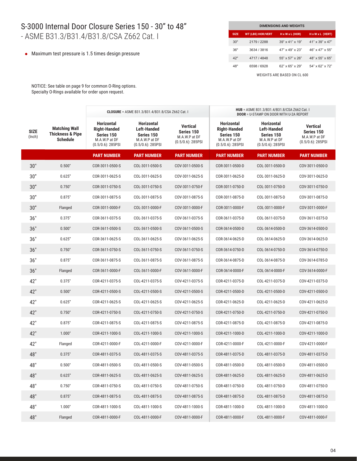## S-3000 Internal Door Closure Series 150 - 30" to 48" - ASME B31.3/B31.4/B31.8/CSA Z662 Cat. I

Maximum test pressure is 1.5 times design pressure

| <b>DIMENSIONS AND WEIGHTS</b> |                          |                             |                              |  |  |  |  |  |  |
|-------------------------------|--------------------------|-----------------------------|------------------------------|--|--|--|--|--|--|
| <b>SIZE</b>                   | <b>WT (LBS) HOR/VERT</b> | $H \times W \times L$ (HOR) | $H \times W \times L$ (VERT) |  |  |  |  |  |  |
| 30"                           | 2179 / 2288              | $39" \times 41" \times 19"$ | $41" \times 39" \times 47"$  |  |  |  |  |  |  |
| 36"                           | 3634 / 3816              | $47" \times 49" \times 23"$ | 46" x 47" x 55"              |  |  |  |  |  |  |
| 42"                           | 4717 / 4848              | 55" x 57" x 26"             | 48" x 55" x 65"              |  |  |  |  |  |  |
| 48"                           | 6598 / 6928              | $62"$ x $65"$ x $29"$       | $54" \times 62" \times 72"$  |  |  |  |  |  |  |

WEIGHTS ARE BASED ON CL 600

NOTICE: See table on page 9 for common O-Ring options. Specialty O-Rings available for order upon request.

|                       |                                                                        | <b>CLOSURE</b> = ASME B31.3/B31.4/B31.8/CSA Z662 Cat. I                                         |                                                                                                |                                                                        | HUB = ASME B31.3/B31.4/B31.8/CSA Z662 Cat. I<br><b>DOOR = U-STAMP ON DOOR WITH U-2A REPORT</b>  |                                                                                                |                                                                 |
|-----------------------|------------------------------------------------------------------------|-------------------------------------------------------------------------------------------------|------------------------------------------------------------------------------------------------|------------------------------------------------------------------------|-------------------------------------------------------------------------------------------------|------------------------------------------------------------------------------------------------|-----------------------------------------------------------------|
| <b>SIZE</b><br>(Inch) | <b>Matching Wall</b><br><b>Thickness &amp; Pipe</b><br><b>Schedule</b> | <b>Horizontal</b><br><b>Right-Handed</b><br>Series 150<br>M.A.W.P at DF<br>$(0.5/0.6)$ : 285PSI | <b>Horizontal</b><br><b>Left-Handed</b><br>Series 150<br>M.A.W.P at DF<br>$(0.5/0.6)$ : 285PSI | <b>Vertical</b><br>Series 150<br>M.A.W.P at DF<br>$(0.5/0.6)$ : 285PSI | <b>Horizontal</b><br><b>Right-Handed</b><br>Series 150<br>M.A.W.P at DF<br>$(0.5/0.6)$ : 285PSI | <b>Horizontal</b><br><b>Left-Handed</b><br>Series 150<br>M.A.W.P at DF<br>$(0.5/0.6)$ : 285PSI | Vertical<br>Series 150<br>M.A.W.P at DF<br>$(0.5/0.6)$ : 285PSI |
|                       |                                                                        | <b>PART NUMBER</b>                                                                              | <b>PART NUMBER</b>                                                                             | <b>PART NUMBER</b>                                                     | <b>PART NUMBER</b>                                                                              | <b>PART NUMBER</b>                                                                             | <b>PART NUMBER</b>                                              |
| 30"                   | 0.500"                                                                 | COR-3011-0500-S                                                                                 | COL-3011-0500-S                                                                                | COV-3011-0500-S                                                        | COR-3011-0500-D                                                                                 | COL-3011-0500-D                                                                                | COV-3011-0500-D                                                 |
| 30"                   | 0.625"                                                                 | COR-3011-0625-S                                                                                 | COL-3011-0625-S                                                                                | COV-3011-0625-S                                                        | COR-3011-0625-D                                                                                 | COL-3011-0625-D                                                                                | COV-3011-0625-D                                                 |
| 30"                   | 0.750"                                                                 | COR-3011-0750-S                                                                                 | COL-3011-0750-S                                                                                | COV-3011-0750-F                                                        | COR-3011-0750-D                                                                                 | COL-3011-0750-D                                                                                | COV-3011-0750-D                                                 |
| 30"                   | 0.875"                                                                 | COR-3011-0875-S                                                                                 | COL-3011-0875-S                                                                                | COV-3011-0875-S                                                        | COR-3011-0875-D                                                                                 | COL-3011-0875-D                                                                                | COV-3011-0875-D                                                 |
| 30"                   | Flanged                                                                | COR-3011-0000-F                                                                                 | COL-3011-0000-F                                                                                | COV-3011-0000-F                                                        | COR-3011-0000-F                                                                                 | COL-3011-0000-F                                                                                | COV-3011-0000-F                                                 |
| 36"                   | 0.375"                                                                 | COR-3611-0375-S                                                                                 | COL-3611-0375-S                                                                                | COV-3611-0375-S                                                        | COR-3611-0375-D                                                                                 | COL-3611-0375-D                                                                                | COV-3611-0375-D                                                 |
| 36"                   | 0.500"                                                                 | COR-3611-0500-S                                                                                 | COL-3611-0500-S                                                                                | COV-3611-0500-S                                                        | COR-3614-0500-D                                                                                 | COL-3614-0500-D                                                                                | COV-3614-0500-D                                                 |
| 36"                   | 0.625"                                                                 | COR-3611-0625-S                                                                                 | COL-3611-0625-S                                                                                | COV-3611-0625-S                                                        | COR-3614-0625-D                                                                                 | COL-3614-0625-D                                                                                | COV-3614-0625-D                                                 |
| 36"                   | 0.750"                                                                 | COR-3611-0750-S                                                                                 | COL-3611-0750-S                                                                                | COV-3611-0750-S                                                        | COR-3614-0750-D                                                                                 | COL-3614-0750-D                                                                                | COV-3614-0750-D                                                 |
| 36"                   | 0.875"                                                                 | COR-3611-0875-S                                                                                 | COL-3611-0875-S                                                                                | COV-3611-0875-S                                                        | COR-3614-0875-D                                                                                 | COL-3614-0875-D                                                                                | COV-3614-0785-D                                                 |
| 36"                   | Flanged                                                                | COR-3611-0000-F                                                                                 | COL-3611-0000-F                                                                                | COV-3611-0000-F                                                        | COR-3614-0000-F                                                                                 | COL-3614-0000-F                                                                                | COV-3614-0000-F                                                 |
| 42"                   | 0.375"                                                                 | COR-4211-0375-S                                                                                 | COL-4211-0375-S                                                                                | COV-4211-0375-S                                                        | COR-4211-0375-D                                                                                 | COL-4211-0375-D                                                                                | COV-4211-0375-D                                                 |
| 42"                   | 0.500"                                                                 | COR-4211-0500-S                                                                                 | COL-4211-0500-S                                                                                | COV-4211-0500-S                                                        | COR-4211-0500-D                                                                                 | COL-4211-0500-D                                                                                | COV-4211-0500-D                                                 |
| 42"                   | 0.625"                                                                 | COR-4211-0625-S                                                                                 | COL-4211-0625-S                                                                                | COV-4211-0625-S                                                        | COR-4211-0625-D                                                                                 | COL-4211-0625-D                                                                                | COV-4211-0625-D                                                 |
| 42"                   | 0.750"                                                                 | COR-4211-0750-S                                                                                 | COL-4211-0750-S                                                                                | COV-4211-0750-S                                                        | COR-4211-0750-D                                                                                 | COL-4211-0750-D                                                                                | COV-4211-0750-D                                                 |
| 42"                   | 0.875"                                                                 | COR-4211-0875-S                                                                                 | COL-4211-0875-S                                                                                | COV-4211-0875-S                                                        | COR-4211-0875-D                                                                                 | COL-4211-0875-D                                                                                | COV-4211-0875-D                                                 |
| 42"                   | 1.000"                                                                 | COR-4211-1000-S                                                                                 | COL-4211-1000-S                                                                                | COV-4211-1000-S                                                        | COR-4211-1000-D                                                                                 | COL-4211-1000-D                                                                                | COV-4211-1000-D                                                 |
| 42"                   | Flanged                                                                | COR-4211-0000-F                                                                                 | COL-4211-0000-F                                                                                | COV-4211-0000-F                                                        | COR-4211-0000-F                                                                                 | COL-4211-0000-F                                                                                | COV-4211-0000-F                                                 |
| 48"                   | 0.375"                                                                 | COR-4811-0375-S                                                                                 | COL-4811-0375-S                                                                                | COV-4811-0375-S                                                        | COR-4811-0375-D                                                                                 | COL-4811-0375-D                                                                                | COV-4811-0375-D                                                 |
| 48"                   | 0.500"                                                                 | COR-4811-0500-S                                                                                 | COL-4811-0500-S                                                                                | COV-4811-0500-S                                                        | COR-4811-0500-D                                                                                 | COL-4811-0500-D                                                                                | COV-4811-0500-D                                                 |
| 48"                   | 0.625"                                                                 | COR-4811-0625-S                                                                                 | COL-4811-0625-S                                                                                | COV-4811-0625-S                                                        | COR-4811-0625-D                                                                                 | COL-4811-0625-D                                                                                | COV-4811-0625-D                                                 |
| 48"                   | 0.750"                                                                 | COR-4811-0750-S                                                                                 | COL-4811-0750-S                                                                                | COV-4811-0750-S                                                        | COR-4811-0750-D                                                                                 | COL-4811-0750-D                                                                                | COV-4811-0750-D                                                 |
| 48"                   | 0.875"                                                                 | COR-4811-0875-S                                                                                 | COL-4811-0875-S                                                                                | COV-4811-0875-S                                                        | COR-4811-0875-D                                                                                 | COL-4811-0875-D                                                                                | COV-4811-0875-D                                                 |
| 48"                   | 1.000"                                                                 | COR-4811-1000-S                                                                                 | COL-4811-1000-S                                                                                | COV-4811-1000-S                                                        | COR-4811-1000-D                                                                                 | COL-4811-1000-D                                                                                | COV-4811-1000-D                                                 |
| 48"                   | Flanged                                                                | COR-4811-0000-F                                                                                 | COL-4811-0000-F                                                                                | COV-4811-0000-F                                                        | COR-4811-0000-F                                                                                 | COL-4811-0000-F                                                                                | COV-4811-0000-F                                                 |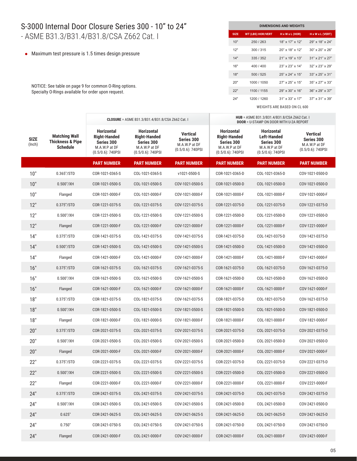## S-3000 Internal Door Closure Series 300 - 10" to 24" - ASME B31.3/B31.4/B31.8/CSA Z662 Cat. I

Maximum test pressure is 1.5 times design pressure

NOTICE: See table on page 9 for common O-Ring options. Specialty O-Rings available for order upon request.

| <b>DIMENSIONS AND WEIGHTS</b> |                          |                             |                             |  |  |  |  |  |  |  |
|-------------------------------|--------------------------|-----------------------------|-----------------------------|--|--|--|--|--|--|--|
| <b>SIZE</b>                   | <b>WT (LBS) HOR/VERT</b> | $H \times W \times L$ (HOR) | H x W x L (VERT)            |  |  |  |  |  |  |  |
| 10"                           | 250 / 263                | 18" x 17" x 12"             | 29" x 18" x 24"             |  |  |  |  |  |  |  |
| 12"                           | 300/315                  | 20" x 18" x 12"             | $30" \times 20" \times 26"$ |  |  |  |  |  |  |  |
| 14"                           | 335/352                  | $21"$ x $19"$ x $13"$       | $31"$ x 21" x 27"           |  |  |  |  |  |  |  |
| 16"                           | 400 / 400                | $23" \times 23" \times 14"$ | $32" \times 23" \times 29"$ |  |  |  |  |  |  |  |
| 18"                           | 500/525                  | 25" x 24" x 15"             | $33" \times 25" \times 31"$ |  |  |  |  |  |  |  |
| 20"                           | 1000 / 1050              | $27"$ x $25"$ x $15"$       | 35" x 27" x 33"             |  |  |  |  |  |  |  |
| 22"                           | 1100 / 1155              | $29" \times 30" \times 16"$ | $36" \times 29" \times 37"$ |  |  |  |  |  |  |  |
| 24"                           | 1200 / 1260              | $31" \times 33" \times 17"$ | $37" \times 31" \times 39"$ |  |  |  |  |  |  |  |

|                       |                                                                        | <b>CLOSURE</b> = ASME B31.3/B31.4/B31.8/CSA Z662 Cat. I                                         |                                                                                                 |                                                                        | HUB = ASME B31.3/B31.4/B31.8/CSA Z662 Cat. I<br><b>DOOR = U-STAMP ON DOOR WITH U-2A REPORT</b>  |                                                                                                |                                                                        |
|-----------------------|------------------------------------------------------------------------|-------------------------------------------------------------------------------------------------|-------------------------------------------------------------------------------------------------|------------------------------------------------------------------------|-------------------------------------------------------------------------------------------------|------------------------------------------------------------------------------------------------|------------------------------------------------------------------------|
| <b>SIZE</b><br>(Inch) | <b>Matching Wall</b><br><b>Thickness &amp; Pipe</b><br><b>Schedule</b> | <b>Horizontal</b><br><b>Right-Handed</b><br>Series 300<br>M.A.W.P at DF<br>$(0.5/0.6)$ : 740PSI | <b>Horizontal</b><br><b>Right-Handed</b><br>Series 300<br>M.A.W.P at DF<br>$(0.5/0.6)$ : 740PSI | <b>Vertical</b><br>Series 300<br>M.A.W.P at DF<br>$(0.5/0.6)$ : 740PSI | <b>Horizontal</b><br><b>Right-Handed</b><br>Series 300<br>M.A.W.P at DF<br>$(0.5/0.6)$ : 740PSI | <b>Horizontal</b><br><b>Left-Handed</b><br>Series 300<br>M.A.W.P at DF<br>$(0.5/0.6)$ : 740PSI | <b>Vertical</b><br>Series 300<br>M.A.W.P at DF<br>$(0.5/0.6)$ : 740PSI |
|                       |                                                                        | <b>PART NUMBER</b>                                                                              | <b>PART NUMBER</b>                                                                              | <b>PART NUMBER</b>                                                     | <b>PART NUMBER</b>                                                                              | <b>PART NUMBER</b>                                                                             | <b>PART NUMBER</b>                                                     |
| 10"                   | 0.365''/STD                                                            | COR-1021-0365-S                                                                                 | COL-1021-0365-S                                                                                 | v1021-0500-S                                                           | COR-1021-0365-D                                                                                 | COL-1021-0365-D                                                                                | COV-1021-0500-D                                                        |
| 10"                   | $0.500$ "/XH                                                           | COR-1021-0500-S                                                                                 | COL-1021-0500-S                                                                                 | COV-1021-0500-S                                                        | COR-1021-0500-D                                                                                 | COL-1021-0500-D                                                                                | COV-1021-0500-D                                                        |
| 10"                   | Flanged                                                                | COR-1021-0000-F                                                                                 | COL-1021-0000-F                                                                                 | COV-1021-0000-F                                                        | COR-1021-0000-F                                                                                 | COL-1021-0000-F                                                                                | COV-1021-0000-F                                                        |
| 12"                   | $0.375$ "/STD                                                          | COR-1221-0375-S                                                                                 | COL-1221-0375-S                                                                                 | COV-1221-0375-S                                                        | COR-1221-0375-D                                                                                 | COL-1221-0375-D                                                                                | COV-1221-0375-D                                                        |
| 12"                   | $0.500$ "/XH                                                           | COR-1221-0500-S                                                                                 | COL-1221-0500-S                                                                                 | COV-1221-0500-S                                                        | COR-1221-0500-D                                                                                 | COL-1221-0500-D                                                                                | COV-1221-0500-D                                                        |
| 12"                   | Flanged                                                                | COR-1221-0000-F                                                                                 | COL-1221-0000-F                                                                                 | COV-1221-0000-F                                                        | COR-1221-0000-F                                                                                 | COL-1221-0000-F                                                                                | COV-1221-0000-F                                                        |
| 14"                   | $0.375$ "/STD                                                          | COR-1421-0375-S                                                                                 | COL-1421-0375-S                                                                                 | COV-1421-0375-S                                                        | COR-1421-0375-D                                                                                 | COL-1421-0375-D                                                                                | COV-1421-0375-D                                                        |
| 14"                   | $0.500$ "/STD                                                          | COR-1421-0500-S                                                                                 | COL-1421-0500-S                                                                                 | COV-1421-0500-S                                                        | COR-1421-0500-D                                                                                 | COL-1421-0500-D                                                                                | COV-1421-0500-D                                                        |
| 14"                   | Flanged                                                                | COR-1421-0000-F                                                                                 | COL-1421-0000-F                                                                                 | COV-1421-0000-F                                                        | COR-1421-0000-F                                                                                 | COL-1421-0000-F                                                                                | COV-1421-0000-F                                                        |
| 16"                   | 0.375"/STD                                                             | COR-1621-0375-S                                                                                 | COL-1621-0375-S                                                                                 | COV-1621-0375-S                                                        | COR-1621-0375-D                                                                                 | COL-1621-0375-D                                                                                | COV-1621-0375-D                                                        |
| 16"                   | $0.500$ "/XH                                                           | COR-1621-0500-S                                                                                 | COL-1621-0500-S                                                                                 | COV-1621-0500-S                                                        | COR-1621-0500-D                                                                                 | COL-1621-0500-D                                                                                | COV-1621-0500-D                                                        |
| 16"                   | Flanged                                                                | COR-1621-0000-F                                                                                 | COL-1621-0000-F                                                                                 | COV-1621-0000-F                                                        | COR-1621-0000-F                                                                                 | COL-1621-0000-F                                                                                | COV-1621-0000-F                                                        |
| 18"                   | 0.375"/STD                                                             | COR-1821-0375-S                                                                                 | COL-1821-0375-S                                                                                 | COV-1621-0375-S                                                        | COR-1821-0375-D                                                                                 | COL-1821-0375-D                                                                                | COV-1621-0375-D                                                        |
| 18"                   | $0.500$ "/XH                                                           | COR-1821-0500-S                                                                                 | COL-1821-0500-S                                                                                 | COV-1821-0500-S                                                        | COR-1821-0500-D                                                                                 | COL-1821-0500-D                                                                                | COV-1821-0500-D                                                        |
| 18"                   | Flanged                                                                | COR-1821-0000-F                                                                                 | COL-1821-0000-S                                                                                 | COV-1821-0000-F                                                        | COR-1821-0000-F                                                                                 | COL-1821-0000-F                                                                                | COV-1821-0000-F                                                        |
| 20"                   | 0.375"/STD                                                             | COR-2021-0375-S                                                                                 | COL-2021-0375-S                                                                                 | COV-2021-0375-S                                                        | COR-2021-0375-D                                                                                 | COL-2021-0375-D                                                                                | COV-2021-0375-D                                                        |
| 20"                   | $0.500$ "/XH                                                           | COR-2021-0500-S                                                                                 | COL-2021-0500-S                                                                                 | COV-2021-0500-S                                                        | COR-2021-0500-D                                                                                 | COL-2021-0500-D                                                                                | COV-2021-0500-D                                                        |
| 20"                   | Flanged                                                                | COR-2021-0000-F                                                                                 | COL-2021-0000-F                                                                                 | COV-2021-0000-F                                                        | COR-2021-0000-F                                                                                 | COL-2021-0000-F                                                                                | COV-2021-0000-F                                                        |
| 22"                   | 0.375"/STD                                                             | COR-2221-0375-S                                                                                 | COL-2221-0375-S                                                                                 | COV-2221-0375-S                                                        | COR-2221-0375-D                                                                                 | COL-2221-0375-D                                                                                | COV-2221-0375-D                                                        |
| 22"                   | $0.500$ "/XH                                                           | COR-2221-0500-S                                                                                 | COL-2221-0500-S                                                                                 | COV-2221-0500-S                                                        | COR-2221-0500-D                                                                                 | COL-2221-0500-D                                                                                | COV-2221-0500-D                                                        |
| 22"                   | Flanged                                                                | COR-2221-0000-F                                                                                 | COL-2221-0000-F                                                                                 | COV-2221-0000-F                                                        | COR-2221-0000-F                                                                                 | COL-2221-0000-F                                                                                | COV-2221-0000-F                                                        |
| 24"                   | 0.375"/STD                                                             | COR-2421-0375-S                                                                                 | COL-2421-0375-S                                                                                 | COV-2421-0375-S                                                        | COR-2421-0375-D                                                                                 | COL-2421-0375-D                                                                                | COV-2421-0375-D                                                        |
| 24"                   | $0.500$ "/XH                                                           | COR-2421-0500-S                                                                                 | COL-2421-0500-S                                                                                 | COV-2421-0500-S                                                        | COR-2421-0500-D                                                                                 | COL-2421-0500-D                                                                                | COV-2421-0500-D                                                        |
| 24"                   | 0.625"                                                                 | COR-2421-0625-S                                                                                 | COL-2421-0625-S                                                                                 | COV-2421-0625-S                                                        | COR-2421-0625-D                                                                                 | COL-2421-0625-D                                                                                | COV-2421-0625-D                                                        |
| 24"                   | 0.750"                                                                 | COR-2421-0750-S                                                                                 | COL-2421-0750-S                                                                                 | COV-2421-0750-S                                                        | COR-2421-0750-D                                                                                 | COL-2421-0750-D                                                                                | COV-2421-0750-D                                                        |
| 24"                   | Flanged                                                                | COR-2421-0000-F                                                                                 | COL-2421-0000-F                                                                                 | COV-2421-0000-F                                                        | COR-2421-0000-F                                                                                 | COL-2421-0000-F                                                                                | COV-2421-0000-F                                                        |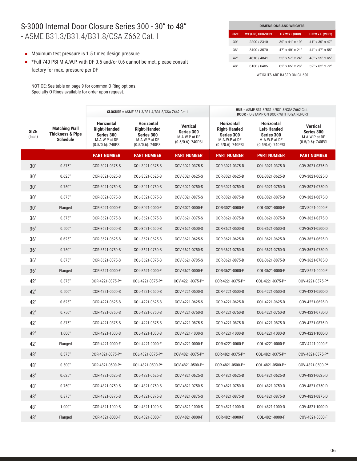#### S-3000 Internal Door Closure Series 300 - 30" to 48" - ASME B31.3/B31.4/B31.8/CSA Z662 Cat. I

- Maximum test pressure is 1.5 times design pressure
- \*Full 740 PSI M.A.W.P. with DF 0.5 and/or 0.6 cannot be met, please consult factory for max. pressure per DF

NOTICE: See table on page 9 for common O-Ring options. Specialty O-Rings available for order upon request.

| <b>DIMENSIONS AND WEIGHTS</b> |                          |                                |                              |  |  |  |  |  |  |
|-------------------------------|--------------------------|--------------------------------|------------------------------|--|--|--|--|--|--|
| <b>SIZE</b>                   | <b>WT (LBS) HOR/VERT</b> | $H \times W \times L$ (HOR)    | $H \times W \times L$ (VERT) |  |  |  |  |  |  |
| 30"                           | 2200 / 2310              | $39'' \times 41'' \times 19''$ | $41" \times 39" \times 47"$  |  |  |  |  |  |  |
| 36"                           | 3400 / 3570              | $47" \times 49" \times 21"$    | $44" \times 47" \times 55"$  |  |  |  |  |  |  |
| 42"                           | 4610 / 4841              | $55" \times 57" \times 24"$    | $48" \times 55" \times 65"$  |  |  |  |  |  |  |
| 48"                           | 6100 / 6405              | $62"$ x $65"$ x $26"$          | 52" x 62" x 72"              |  |  |  |  |  |  |

|                       |                                                                        | <b>CLOSURE</b> = ASME B31.3/B31.4/B31.8/CSA Z662 Cat. I                                         |                                                                                                 |                                                                 | HUB = ASME B31.3/B31.4/B31.8/CSA Z662 Cat. I<br><b>DOOR = U-STAMP ON DOOR WITH U-2A REPORT</b>  |                                                                                         |                                                                        |
|-----------------------|------------------------------------------------------------------------|-------------------------------------------------------------------------------------------------|-------------------------------------------------------------------------------------------------|-----------------------------------------------------------------|-------------------------------------------------------------------------------------------------|-----------------------------------------------------------------------------------------|------------------------------------------------------------------------|
| <b>SIZE</b><br>(Inch) | <b>Matching Wall</b><br><b>Thickness &amp; Pipe</b><br><b>Schedule</b> | <b>Horizontal</b><br><b>Right-Handed</b><br>Series 300<br>M.A.W.P at DF<br>$(0.5/0.6)$ : 740PSI | <b>Horizontal</b><br><b>Right-Handed</b><br>Series 300<br>M.A.W.P at DF<br>$(0.5/0.6)$ : 740PSI | Vertical<br>Series 300<br>M.A.W.P at DF<br>$(0.5/0.6)$ : 740PSI | <b>Horizontal</b><br><b>Right-Handed</b><br>Series 300<br>M.A.W.P at DF<br>$(0.5/0.6)$ : 740PSI | <b>Horizontal</b><br>Left-Handed<br>Series 300<br>M.A.W.P at DF<br>$(0.5/0.6)$ : 740PSI | <b>Vertical</b><br>Series 300<br>M.A.W.P at DF<br>$(0.5/0.6)$ : 740PSI |
|                       |                                                                        | <b>PART NUMBER</b>                                                                              | <b>PART NUMBER</b>                                                                              | <b>PART NUMBER</b>                                              | <b>PART NUMBER</b>                                                                              | <b>PART NUMBER</b>                                                                      | <b>PART NUMBER</b>                                                     |
| 30"                   | 0.375"                                                                 | COR-3021-0375-S                                                                                 | COL-3021-0375-S                                                                                 | COV-3021-0375-S                                                 | COR-3021-0375-D                                                                                 | COL-3021-0375-D                                                                         | COV-3021-0375-D                                                        |
| 30"                   | 0.625"                                                                 | COR-3021-0625-S                                                                                 | COL-3021-0625-S                                                                                 | COV-3021-0625-S                                                 | COR-3021-0625-D                                                                                 | COL-3021-0625-D                                                                         | COV-3021-0625-D                                                        |
| 30"                   | 0.750"                                                                 | COR-3021-0750-S                                                                                 | COL-3021-0750-S                                                                                 | COV-3021-0750-S                                                 | COR-3021-0750-D                                                                                 | COL-3021-0750-D                                                                         | COV-3021-0750-D                                                        |
| 30"                   | 0.875"                                                                 | COR-3021-0875-S                                                                                 | COL-3021-0875-S                                                                                 | COV-3021-0875-S                                                 | COR-3021-0875-D                                                                                 | COL-3021-0875-D                                                                         | COV-3021-0875-D                                                        |
| 30"                   | Flanged                                                                | COR-3021-0000-F                                                                                 | COL-3021-0000-F                                                                                 | COV-3021-0000-F                                                 | COR-3021-0000-F                                                                                 | COL-3021-0000-F                                                                         | COV-3021-0000-F                                                        |
| 36"                   | 0.375"                                                                 | COR-3621-0375-S                                                                                 | COL-3621-0375-S                                                                                 | COV-3621-0375-S                                                 | COR-3621-0375-D                                                                                 | COL-3621-0375-D                                                                         | COV-3621-0375-D                                                        |
| 36"                   | 0.500"                                                                 | COR-3621-0500-S                                                                                 | COL-3621-0500-S                                                                                 | COV-3621-0500-S                                                 | COR-3621-0500-D                                                                                 | COL-3621-0500-D                                                                         | COV-3621-0500-D                                                        |
| 36"                   | 0.625"                                                                 | COR-3621-0625-S                                                                                 | COL-3621-0625-S                                                                                 | COV-3621-0625-S                                                 | COR-3621-0625-D                                                                                 | COL-3621-0625-D                                                                         | COV-3621-0625-D                                                        |
| 36"                   | 0.750"                                                                 | COR-3621-0750-S                                                                                 | COL-3621-0750-S                                                                                 | COV-3621-0750-S                                                 | COR-3621-0750-D                                                                                 | COL-3621-0750-D                                                                         | COV-3621-0750-D                                                        |
| 36"                   | 0.875"                                                                 | COR-3621-0875-S                                                                                 | COL-3621-0875-S                                                                                 | COV-3621-0785-S                                                 | COR-3621-0875-D                                                                                 | COL-3621-0875-D                                                                         | COV-3621-0785-D                                                        |
| 36"                   | Flanged                                                                | COR-3621-0000-F                                                                                 | COL-3621-0000-F                                                                                 | COV-3621-0000-F                                                 | COR-3621-0000-F                                                                                 | COL-3621-0000-F                                                                         | COV-3621-0000-F                                                        |
| 42"                   | 0.375"                                                                 | COR-4221-0375-P*                                                                                | COL-4221-0375-P*                                                                                | COV-4221-0375-P*                                                | COR-4221-0375-P*                                                                                | COL-4221-0375-P*                                                                        | COV-4221-0375-P*                                                       |
| 42"                   | 0.500"                                                                 | COR-4221-0500-S                                                                                 | COL-4221-0500-S                                                                                 | COV-4221-0500-S                                                 | COR-4221-0500-D                                                                                 | COL-4221-0500-D                                                                         | COV-4221-0500-D                                                        |
| 42"                   | 0.625"                                                                 | COR-4221-0625-S                                                                                 | COL-4221-0625-S                                                                                 | COV-4221-0625-S                                                 | COR-4221-0625-D                                                                                 | COL-4221-0625-D                                                                         | COV-4221-0625-D                                                        |
| 42"                   | 0.750"                                                                 | COR-4221-0750-S                                                                                 | COL-4221-0750-S                                                                                 | COV-4221-0750-S                                                 | COR-4221-0750-D                                                                                 | COL-4221-0750-D                                                                         | COV-4221-0750-D                                                        |
| 42"                   | 0.875"                                                                 | COR-4221-0875-S                                                                                 | COL-4221-0875-S                                                                                 | COV-4221-0875-S                                                 | COR-4221-0875-D                                                                                 | COL-4221-0875-D                                                                         | COV-4221-0875-D                                                        |
| 42"                   | 1.000"                                                                 | COR-4221-1000-S                                                                                 | COL-4221-1000-S                                                                                 | COV-4221-1000-S                                                 | COR-4221-1000-D                                                                                 | COL-4221-1000-D                                                                         | COV-4221-1000-D                                                        |
| 42"                   | Flanged                                                                | COR-4221-0000-F                                                                                 | COL-4221-0000-F                                                                                 | COV-4221-0000-F                                                 | COR-4221-0000-F                                                                                 | COL-4221-0000-F                                                                         | COV-4221-0000-F                                                        |
| 48"                   | 0.375"                                                                 | COR-4821-0375-P*                                                                                | COL-4821-0375-P*                                                                                | COV-4821-0375-P*                                                | COR-4821-0375-P*                                                                                | COL-4821-0375-P*                                                                        | COV-4821-0375-P*                                                       |
| 48"                   | 0.500"                                                                 | COR-4821-0500-P*                                                                                | COL-4821-0500-P*                                                                                | COV-4821-0500-P*                                                | COR-4821-0500-P*                                                                                | COL-4821-0500-P*                                                                        | COV-4821-0500-P*                                                       |
| 48"                   | 0.625"                                                                 | COR-4821-0625-S                                                                                 | COL-4821-0625-S                                                                                 | COV-4821-0625-S                                                 | COR-4821-0625-D                                                                                 | COL-4821-0625-D                                                                         | COV-4821-0625-D                                                        |
| 48"                   | 0.750"                                                                 | COR-4821-0750-S                                                                                 | COL-4821-0750-S                                                                                 | COV-4821-0750-S                                                 | COR-4821-0750-D                                                                                 | COL-4821-0750-D                                                                         | COV-4821-0750-D                                                        |
| 48"                   | 0.875"                                                                 | COR-4821-0875-S                                                                                 | COL-4821-0875-S                                                                                 | COV-4821-0875-S                                                 | COR-4821-0875-D                                                                                 | COL-4821-0875-D                                                                         | COV-4821-0875-D                                                        |
| 48"                   | 1.000"                                                                 | COR-4821-1000-S                                                                                 | COL-4821-1000-S                                                                                 | COV-4821-1000-S                                                 | COR-4821-1000-D                                                                                 | COL-4821-1000-D                                                                         | COV-4821-1000-D                                                        |
| 48"                   | Flanged                                                                | COR-4821-0000-F                                                                                 | COL-4821-0000-F                                                                                 | COV-4821-0000-F                                                 | COR-4821-0000-F                                                                                 | COL-4821-0000-F                                                                         | COV-4821-0000-F                                                        |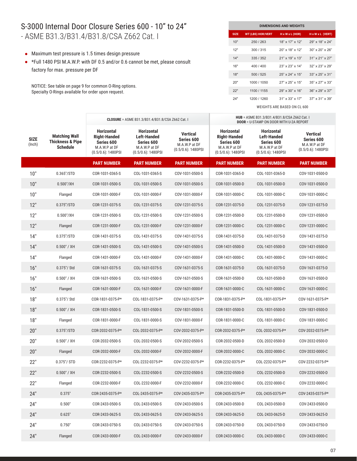#### S-3000 Internal Door Closure Series 600 - 10" to 24" - ASME B31.3/B31.4/B31.8/CSA Z662 Cat. I

- Maximum test pressure is 1.5 times design pressure
- \*Full 1480 PSI M.A.W.P. with DF 0.5 and/or 0.6 cannot be met, please consult factory for max. pressure per DF

NOTICE: See table on page 9 for common O-Ring options. Specialty O-Rings available for order upon request.

| <b>DIMENSIONS AND WEIGHTS</b> |                          |                             |                             |  |  |  |  |  |  |  |
|-------------------------------|--------------------------|-----------------------------|-----------------------------|--|--|--|--|--|--|--|
| <b>SIZE</b>                   | <b>WT (LBS) HOR/VERT</b> | $H \times W \times L$ (HOR) | H x W x L (VERT)            |  |  |  |  |  |  |  |
| 10"                           | 250 / 263                | 18" x 17" x 12"             | 29" x 18" x 24"             |  |  |  |  |  |  |  |
| 12"                           | 300/315                  | $20$ " x 18" x 12"          | $30" \times 20" \times 26"$ |  |  |  |  |  |  |  |
| 14"                           | 335/352                  | $21"$ x $19"$ x $13"$       | $31"$ x 21" x 27"           |  |  |  |  |  |  |  |
| 16"                           | 400 / 400                | 23" x 23" x 14"             | $32" \times 23" \times 29"$ |  |  |  |  |  |  |  |
| 18"                           | 500/525                  | $25" \times 24" \times 15"$ | $33" \times 25" \times 31"$ |  |  |  |  |  |  |  |
| 20"                           | 1000 / 1050              | $27"$ x $25"$ x $15"$       | $35" \times 27" \times 33"$ |  |  |  |  |  |  |  |
| 22"                           | 1100 / 1155              | 29" x 30" x 16"             | $36" \times 29" \times 37"$ |  |  |  |  |  |  |  |
| 24"                           | 1200 / 1260              | $31" \times 33" \times 17"$ | $37" \times 31" \times 39"$ |  |  |  |  |  |  |  |

|                       |                                                                        | <b>CLOSURE</b> = ASME B31.3/B31.4/B31.8/CSA Z662 Cat. I                                          |                                                                                                 |                                                                         | HUB = ASME B31.3/B31.4/B31.8/CSA Z662 Cat. I<br><b>DOOR = U-STAMP ON DOOR WITH U-2A REPORT</b>   |                                                                                                 |                                                                         |  |
|-----------------------|------------------------------------------------------------------------|--------------------------------------------------------------------------------------------------|-------------------------------------------------------------------------------------------------|-------------------------------------------------------------------------|--------------------------------------------------------------------------------------------------|-------------------------------------------------------------------------------------------------|-------------------------------------------------------------------------|--|
| <b>SIZE</b><br>(Inch) | <b>Matching Wall</b><br><b>Thickness &amp; Pipe</b><br><b>Schedule</b> | <b>Horizontal</b><br><b>Right-Handed</b><br>Series 600<br>M.A.W.P at DF<br>$(0.5/0.6)$ : 1480PSI | <b>Horizontal</b><br><b>Left-Handed</b><br>Series 600<br>M.A.W.P at DF<br>$(0.5/0.6)$ : 1480PSI | <b>Vertical</b><br>Series 600<br>M.A.W.P at DF<br>$(0.5/0.6)$ : 1480PSI | <b>Horizontal</b><br><b>Right-Handed</b><br>Series 600<br>M.A.W.P at DF<br>$(0.5/0.6)$ : 1480PSI | <b>Horizontal</b><br><b>Left-Handed</b><br>Series 600<br>M.A.W.P at DF<br>$(0.5/0.6)$ : 1480PSI | <b>Vertical</b><br>Series 600<br>M.A.W.P at DF<br>$(0.5/0.6)$ : 1480PSI |  |
|                       |                                                                        | <b>PART NUMBER</b>                                                                               | <b>PART NUMBER</b>                                                                              | <b>PART NUMBER</b>                                                      | <b>PART NUMBER</b>                                                                               | <b>PART NUMBER</b>                                                                              | <b>PART NUMBER</b>                                                      |  |
| 10"                   | 0.365"/STD                                                             | COR-1031-0365-S                                                                                  | COL-1031-0365-S                                                                                 | COV-1031-0500-S                                                         | COR-1031-0365-D                                                                                  | COL-1031-0365-D                                                                                 | COV-1031-0500-D                                                         |  |
| 10"                   | $0.500$ "/XH                                                           | COR-1031-0500-S                                                                                  | COL-1031-0500-S                                                                                 | COV-1031-0500-S                                                         | COR-1031-0500-D                                                                                  | COL-1031-0500-D                                                                                 | COV-1031-0500-D                                                         |  |
| 10"                   | Flanged                                                                | COR-1031-0000-F                                                                                  | COL-1031-0000-F                                                                                 | COV-1031-0000-F                                                         | COR-1031-0000-C                                                                                  | COL-1031-0000-C                                                                                 | COV-1031-0000-C                                                         |  |
| 12"                   | 0.375"/STD                                                             | COR-1231-0375-S                                                                                  | COL-1231-0375-S                                                                                 | COV-1231-0375-S                                                         | COR-1231-0375-D                                                                                  | COL-1231-0375-D                                                                                 | COV-1231-0375-D                                                         |  |
| 12"                   | $0.500$ "/XH                                                           | COR-1231-0500-S                                                                                  | COL-1231-0500-S                                                                                 | COV-1231-0500-S                                                         | COR-1231-0500-D                                                                                  | COL-1231-0500-D                                                                                 | COV-1231-0500-D                                                         |  |
| 12"                   | Flanged                                                                | COR-1231-0000-F                                                                                  | COL-1231-0000-F                                                                                 | COV-1231-0000-F                                                         | COR-1231-0000-C                                                                                  | COL-1231-0000-C                                                                                 | COV-1231-0000-C                                                         |  |
| 14"                   | 0.375"/STD                                                             | COR-1431-0375-S                                                                                  | COL-1431-0375-S                                                                                 | COV-1431-0375-S                                                         | COR-1431-0375-D                                                                                  | COL-1431-0375-D                                                                                 | COV-1431-0375-D                                                         |  |
| 14"                   | 0.500" / XH                                                            | COR-1431-0500-S                                                                                  | COL-1431-0500-S                                                                                 | COV-1431-0500-S                                                         | COR-1431-0500-D                                                                                  | COL-1431-0500-D                                                                                 | COV-1431-0500-D                                                         |  |
| 14"                   | Flanged                                                                | COR-1431-0000-F                                                                                  | COL-1431-0000-F                                                                                 | COV-1431-0000-F                                                         | COR-1431-0000-C                                                                                  | COL-1431-0000-C                                                                                 | COV-1431-0000-C                                                         |  |
| 16"                   | $0.375$ "/ Std                                                         | COR-1631-0375-S                                                                                  | COL-1631-0375-S                                                                                 | COV-1631-0375-S                                                         | COR-1631-0375-D                                                                                  | COL-1631-0375-D                                                                                 | COV-1631-0375-D                                                         |  |
| 16"                   | 0.500" / XH                                                            | COR-1631-0500-S                                                                                  | COL-1631-0500-S                                                                                 | COV-1631-0500-S                                                         | COR-1631-0500-D                                                                                  | COL-1631-0500-D                                                                                 | COV-1631-0500-D                                                         |  |
| 16"                   | Flanged                                                                | COR-1631-0000-F                                                                                  | COL-1631-0000-F                                                                                 | COV-1631-0000-F                                                         | COR-1631-0000-C                                                                                  | COL-1631-0000-C                                                                                 | COV-1631-0000-C                                                         |  |
| 18"                   | $0.375''/$ Std                                                         | COR-1831-0375-P*                                                                                 | COL-1831-0375-P*                                                                                | COV-1631-0375-P*                                                        | COR-1831-0375-P*                                                                                 | COL-1831-0375-P*                                                                                | COV-1631-0375-P*                                                        |  |
| 18"                   | 0.500" / XH                                                            | COR-1831-0500-S                                                                                  | COL-1831-0500-S                                                                                 | COV-1831-0500-S                                                         | COR-1831-0500-D                                                                                  | COL-1831-0500-D                                                                                 | COV-1831-0500-D                                                         |  |
| 18"                   | Flanged                                                                | COR-1831-0000-F                                                                                  | COL-1831-0000-S                                                                                 | COV-1831-0000-F                                                         | COR-1831-0000-C                                                                                  | COL-1831-0000-C                                                                                 | COV-1831-0000-C                                                         |  |
| 20"                   | 0.375"/STD                                                             | COR-2032-0375-P*                                                                                 | COL-2032-0375-P*                                                                                | COV-2032-0375-P*                                                        | COR-2032-0375-P*                                                                                 | COL-2032-0375-P*                                                                                | COV-2032-0375-P*                                                        |  |
| 20"                   | 0.500" / XH                                                            | COR-2032-0500-S                                                                                  | COL-2032-0500-S                                                                                 | COV-2032-0500-S                                                         | COR-2032-0500-D                                                                                  | COL-2032-0500-D                                                                                 | COV-2032-0500-D                                                         |  |
| 20"                   | Flanged                                                                | COR-2032-0000-F                                                                                  | COL-2032-0000-F                                                                                 | COV-2032-0000-F                                                         | COR-2032-0000-C                                                                                  | COL-2032-0000-C                                                                                 | COV-2032-0000-C                                                         |  |
| 22"                   | 0.375"/ STD                                                            | COR-2232-0375-P*                                                                                 | COL-2232-0375-P*                                                                                | COV-2232-0375-P*                                                        | COR-2232-0375-P*                                                                                 | COL-2232-0375-P*                                                                                | COV-2232-0375-P*                                                        |  |
| 22"                   | 0.500" / XH                                                            | COR-2232-0500-S                                                                                  | COL-2232-0500-S                                                                                 | COV-2232-0500-S                                                         | COR-2232-0500-D                                                                                  | COL-2232-0500-D                                                                                 | COV-2232-0500-D                                                         |  |
| 22"                   | Flanged                                                                | COR-2232-0000-F                                                                                  | COL-2232-0000-F                                                                                 | COV-2232-0000-F                                                         | COR-2232-0000-C                                                                                  | COL-2232-0000-C                                                                                 | COV-2232-0000-C                                                         |  |
| 24"                   | 0.375"                                                                 | COR-2435-0375-P*                                                                                 | COL-2435-0375-P*                                                                                | COV-2435-0375-P*                                                        | COR-2435-0375-P*                                                                                 | COL-2435-0375-P*                                                                                | COV-2435-0375-P*                                                        |  |
| 24"                   | 0.500"                                                                 | COR-2433-0500-S                                                                                  | COL-2433-0500-S                                                                                 | COV-2433-0500-S                                                         | COR-2433-0500-D                                                                                  | COL-2433-0500-D                                                                                 | COV-2433-0500-D                                                         |  |
| 24"                   | 0.625"                                                                 | COR-2433-0625-S                                                                                  | COL-2433-0625-S                                                                                 | COV-2433-0625-S                                                         | COR-2433-0625-D                                                                                  | COL-2433-0625-D                                                                                 | COV-2433-0625-D                                                         |  |
| 24"                   | 0.750"                                                                 | COR-2433-0750-S                                                                                  | COL-2433-0750-S                                                                                 | COV-2433-0750-S                                                         | COR-2433-0750-D                                                                                  | COL-2433-0750-D                                                                                 | COV-2433-0750-D                                                         |  |
| 24"                   | Flanged                                                                | COR-2433-0000-F                                                                                  | COL-2433-0000-F                                                                                 | COV-2433-0000-F                                                         | COR-2433-0000-C                                                                                  | COL-2433-0000-C                                                                                 | COV-2433-0000-C                                                         |  |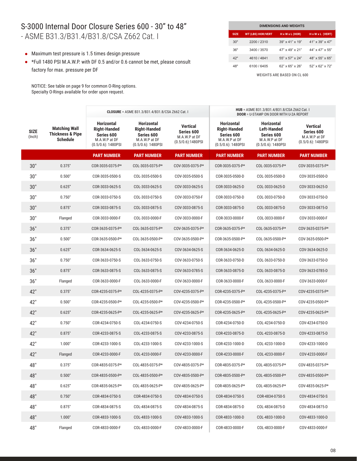#### S-3000 Internal Door Closure Series 600 - 30" to 48" - ASME B31.3/B31.4/B31.8/CSA Z662 Cat. I

- Maximum test pressure is 1.5 times design pressure
- \*Full 1480 PSI M.A.W.P. with DF 0.5 and/or 0.6 cannot be met, please consult factory for max. pressure per DF

NOTICE: See table on page 9 for common O-Ring options. Specialty O-Rings available for order upon request.

| <b>DIMENSIONS AND WEIGHTS</b> |                          |                                |                              |  |  |  |  |  |  |
|-------------------------------|--------------------------|--------------------------------|------------------------------|--|--|--|--|--|--|
| <b>SIZE</b>                   | <b>WT (LBS) HOR/VERT</b> | $H \times W \times L$ (HOR)    | $H \times W \times L$ (VERT) |  |  |  |  |  |  |
| 30"                           | 2200 / 2310              | $39'' \times 41'' \times 19''$ | 41" x 39" x 47"              |  |  |  |  |  |  |
| 36"                           | 3400 / 3570              | $47" \times 49" \times 21"$    | 44" x 47" x 55"              |  |  |  |  |  |  |
| 42"                           | 4610 / 4841              | $55" \times 57" \times 24"$    | 48" x 55" x 65"              |  |  |  |  |  |  |
| 48"                           | 6100 / 6405              | $62"$ x $65"$ x $26"$          | $52"$ x $62"$ x $72"$        |  |  |  |  |  |  |

|                       |                                                                        | <b>CLOSURE</b> = ASME B31.3/B31.4/B31.8/CSA Z662 Cat. I                                          |                                                                                                  |                                                                 | HUB = ASME B31.3/B31.4/B31.8/CSA Z662 Cat. I<br><b>DOOR = U-STAMP ON DOOR WITH U-2A REPORT</b>   |                                                                                                 |                                                                         |
|-----------------------|------------------------------------------------------------------------|--------------------------------------------------------------------------------------------------|--------------------------------------------------------------------------------------------------|-----------------------------------------------------------------|--------------------------------------------------------------------------------------------------|-------------------------------------------------------------------------------------------------|-------------------------------------------------------------------------|
| <b>SIZE</b><br>(Inch) | <b>Matching Wall</b><br><b>Thickness &amp; Pipe</b><br><b>Schedule</b> | <b>Horizontal</b><br><b>Right-Handed</b><br>Series 600<br>M.A.W.P at DF<br>$(0.5/0.6)$ : 1480PSI | <b>Horizontal</b><br><b>Right-Handed</b><br>Series 600<br>M.A.W.P at DF<br>$(0.5/0.6)$ : 1480PSI | Vertical<br>Series 600<br>M.A.W.P at DF<br>$(0.5/0.6)$ :1480PSI | <b>Horizontal</b><br><b>Right-Handed</b><br>Series 600<br>M.A.W.P at DF<br>$(0.5/0.6)$ : 1480PSI | <b>Horizontal</b><br><b>Left-Handed</b><br>Series 600<br>M.A.W.P at DF<br>$(0.5/0.6)$ : 1480PSI | <b>Vertical</b><br>Series 600<br>M.A.W.P at DF<br>$(0.5/0.6)$ : 1480PSI |
|                       |                                                                        | <b>PART NUMBER</b>                                                                               | <b>PART NUMBER</b>                                                                               | <b>PART NUMBER</b>                                              | <b>PART NUMBER</b>                                                                               | <b>PART NUMBER</b>                                                                              | <b>PART NUMBER</b>                                                      |
| 30"                   | 0.375"                                                                 | COR-3035-0375-P*                                                                                 | COL-3035-0375-P*                                                                                 | COV-3035-0375-P*                                                | COR-3035-0375-P*                                                                                 | COL-3035-0375-P*                                                                                | COV-3035-0375-P*                                                        |
| 30"                   | 0.500"                                                                 | COR-3035-0500-S                                                                                  | COL-3035-0500-S                                                                                  | COV-3035-0500-S                                                 | COR-3035-0500-D                                                                                  | COL-3035-0500-D                                                                                 | COV-3035-0500-D                                                         |
| 30"                   | 0.625"                                                                 | COR-3033-0625-S                                                                                  | COL-3033-0625-S                                                                                  | COV-3033-0625-S                                                 | COR-3033-0625-D                                                                                  | COL-3033-0625-D                                                                                 | COV-3033-0625-D                                                         |
| 30"                   | 0.750"                                                                 | COR-3033-0750-S                                                                                  | COL-3033-0750-S                                                                                  | COV-3033-0750-F                                                 | COR-3033-0750-D                                                                                  | COL-3033-0750-D                                                                                 | COV-3033-0750-D                                                         |
| 30"                   | 0.875"                                                                 | COR-3033-0875-S                                                                                  | COL-3033-0875-S                                                                                  | COV-3033-0875-S                                                 | COR-3033-0875-D                                                                                  | COL-3033-0875-D                                                                                 | COV-3033-0875-D                                                         |
| 30"                   | Flanged                                                                | COR-3033-0000-F                                                                                  | COL-3033-0000-F                                                                                  | COV-3033-0000-F                                                 | COR-3033-0000-F                                                                                  | COL-3033-0000-F                                                                                 | COV-3033-0000-F                                                         |
| 36"                   | 0.375"                                                                 | COR-3635-0375-P*                                                                                 | COL-3635-0375-P*                                                                                 | COV-3635-0375-P*                                                | COR-3635-0375-P*                                                                                 | COL-3635-0375-P*                                                                                | COV-3635-0375-P*                                                        |
| 36"                   | 0.500"                                                                 | COR-3635-0500-P*                                                                                 | COL-3635-0500-P*                                                                                 | COV-3635-0500-P*                                                | COR-3635-0500-P*                                                                                 | COL-3635-0500-P*                                                                                | COV-3635-0500-P*                                                        |
| 36"                   | 0.625"                                                                 | COR-3634-0625-S                                                                                  | COL-3634-0625-S                                                                                  | COV-3634-0625-S                                                 | COR-3634-0625-D                                                                                  | COL-3634-0625-D                                                                                 | COV-3634-0625-D                                                         |
| 36"                   | 0.750"                                                                 | COR-3633-0750-S                                                                                  | COL-3633-0750-S                                                                                  | COV-3633-0750-S                                                 | COR-3633-0750-D                                                                                  | COL-3633-0750-D                                                                                 | COV-3633-0750-D                                                         |
| 36"                   | 0.875"                                                                 | COR-3633-0875-S                                                                                  | COL-3633-0875-S                                                                                  | COV-3633-0785-S                                                 | COR-3633-0875-D                                                                                  | COL-3633-0875-D                                                                                 | COV-3633-0785-D                                                         |
| 36"                   | Flanged                                                                | COR-3633-0000-F                                                                                  | COL-3633-0000-F                                                                                  | COV-3633-0000-F                                                 | COR-3633-0000-F                                                                                  | COL-3633-0000-F                                                                                 | COV-3633-0000-F                                                         |
| 42"                   | 0.375"                                                                 | COR-4235-0375-P*                                                                                 | COL-4235-0375-P*                                                                                 | COV-4235-0375-P*                                                | COR-4235-0375-P*                                                                                 | COL-4235-0375-P*                                                                                | COV-4235-0375-P*                                                        |
| 42"                   | 0.500"                                                                 | COR-4235-0500-P*                                                                                 | COL-4235-0500-P*                                                                                 | COV-4235-0500-P*                                                | COR-4235-0500-P*                                                                                 | COL-4235-0500-P*                                                                                | COV-4235-0500-P*                                                        |
| 42"                   | 0.625"                                                                 | COR-4235-0625-P*                                                                                 | COL-4235-0625-P*                                                                                 | COV-4235-0625-P*                                                | COR-4235-0625-P*                                                                                 | COL-4235-0625-P*                                                                                | COV-4235-0625-P*                                                        |
| 42"                   | 0.750"                                                                 | COR-4234-0750-S                                                                                  | COL-4234-0750-S                                                                                  | COV-4234-0750-S                                                 | COR-4234-0750-D                                                                                  | COL-4234-0750-D                                                                                 | COV-4234-0750-D                                                         |
| 42"                   | 0.875"                                                                 | COR-4233-0875-S                                                                                  | COL-4233-0875-S                                                                                  | COV-4233-0875-S                                                 | COR-4233-0875-D                                                                                  | COL-4233-0875-D                                                                                 | COV-4233-0875-D                                                         |
| 42"                   | 1.000"                                                                 | COR-4233-1000-S                                                                                  | COL-4233-1000-S                                                                                  | COV-4233-1000-S                                                 | COR-4233-1000-D                                                                                  | COL-4233-1000-D                                                                                 | COV-4233-1000-D                                                         |
| 42"                   | Flanged                                                                | COR-4233-0000-F                                                                                  | COL-4233-0000-F                                                                                  | COV-4233-0000-F                                                 | COR-4233-0000-F                                                                                  | COL-4233-0000-F                                                                                 | COV-4233-0000-F                                                         |
| 48"                   | 0.375"                                                                 | COR-4835-0375-P*                                                                                 | COL-4835-0375-P*                                                                                 | COV-4835-0375-P*                                                | COR-4835-0375-P*                                                                                 | COL-4835-0375-P*                                                                                | COV-4835-0375-P*                                                        |
| 48"                   | 0.500"                                                                 | COR-4835-0500-P*                                                                                 | COL-4835-0500-P*                                                                                 | COV-4835-0500-P*                                                | COR-4835-0500-P*                                                                                 | COL-4835-0500-P*                                                                                | COV-4835-0500-P*                                                        |
| 48"                   | 0.625"                                                                 | COR-4835-0625-P*                                                                                 | COL-4835-0625-P*                                                                                 | COV-4835-0625-P*                                                | COR-4835-0625-P*                                                                                 | COL-4835-0625-P*                                                                                | COV-4835-0625-P*                                                        |
| 48"                   | 0.750"                                                                 | COR-4834-0750-S                                                                                  | COR-4834-0750-S                                                                                  | COV-4834-0750-S                                                 | COR-4834-0750-S                                                                                  | COR-4834-0750-S                                                                                 | COV-4834-0750-S                                                         |
| 48"                   | 0.875"                                                                 | COR-4834-0875-S                                                                                  | COL-4834-0875-S                                                                                  | COV-4834-0875-S                                                 | COR-4834-0875-D                                                                                  | COL-4834-0875-D                                                                                 | COV-4834-0875-D                                                         |
| 48"                   | 1.000"                                                                 | COR-4833-1000-S                                                                                  | COL-4833-1000-S                                                                                  | COV-4833-1000-S                                                 | COR-4833-1000-D                                                                                  | COL-4833-1000-D                                                                                 | COV-4833-1000-D                                                         |
| 48"                   | Flanged                                                                | COR-4833-0000-F                                                                                  | COL-4833-0000-F                                                                                  | COV-4833-0000-F                                                 | COR-4833-0000-F                                                                                  | COL-4833-0000-F                                                                                 | COV-4833-0000-F                                                         |